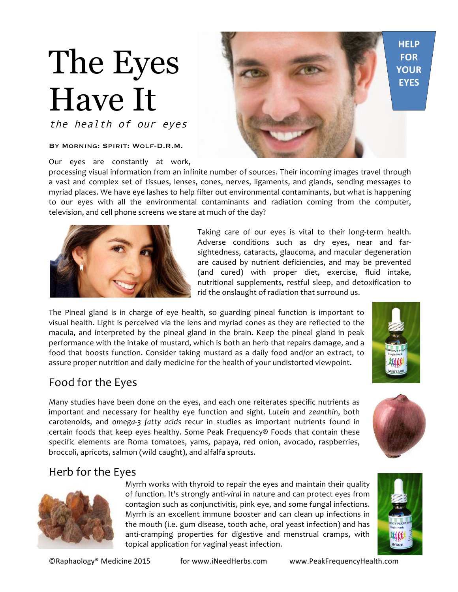# The Eyes Have It

the health of our eyes

#### By Morning: Spirit: Wolf-D.R.M.

Our eyes are constantly at work,

processing visual information from an infinite number of sources. Their incoming images travel through a vast and complex set of tissues, lenses, cones, nerves, ligaments, and glands, sending messages to myriad places. We have eye lashes to help filter out environmental contaminants, but what is happening to our eyes with all the environmental contaminants and radiation coming from the computer, television, and cell phone screens we stare at much of the day?



The Pineal gland is in charge of eye health, so guarding pineal function is important to visual health. Light is perceived via the lens and myriad cones as they are reflected to the macula, and interpreted by the pineal gland in the brain. Keep the pineal gland in peak performance with the intake of mustard, which is both an herb that repairs damage, and a food that boosts function. Consider taking mustard as a daily food and/or an extract, to assure proper nutrition and daily medicine for the health of your undistorted viewpoint.

## Food for the Eyes

Many studies have been done on the eyes, and each one reiterates specific nutrients as important and necessary for healthy eye function and sight. *Lutein* and *zeanthin*, both carotenoids, and *omega-3* fatty acids recur in studies as important nutrients found in certain foods that keep eyes healthy. Some Peak Frequency® Foods that contain these specific elements are Roma tomatoes, yams, papaya, red onion, avocado, raspberries, broccoli, apricots, salmon (wild caught), and alfalfa sprouts.

## Herb for the Eyes



Myrrh works with thyroid to repair the eyes and maintain their quality of function. It's strongly anti-viral in nature and can protect eyes from contagion such as conjunctivitis, pink eye, and some fungal infections. Myrrh is an excellent immune booster and can clean up infections in the mouth (i.e. gum disease, tooth ache, oral yeast infection) and has anti-cramping properties for digestive and menstrual cramps, with topical application for vaginal yeast infection.



**HELP FOR YOUR EYES**